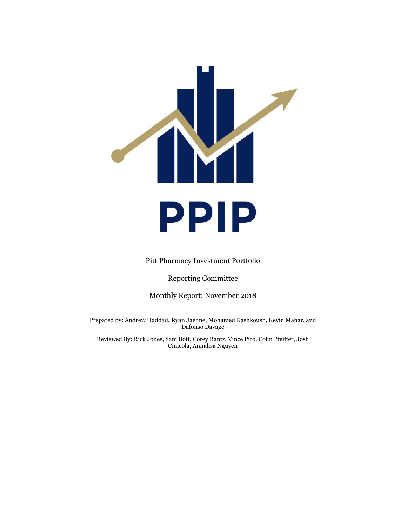

Pitt Pharmacy Investment Portfolio

Reporting Committee

Monthly Report: November 2018

Prepared by: Andrew Haddad, Ryan Jaehne, Mohamed Kashkoush, Kevin Mahar, and Dafonso Davage

Reviewed By: Rick Jones, Sam Bott, Corey Rantz, Vince Piro, Colin Pfeiffer, Josh Cinicola, Annalisa Nguyen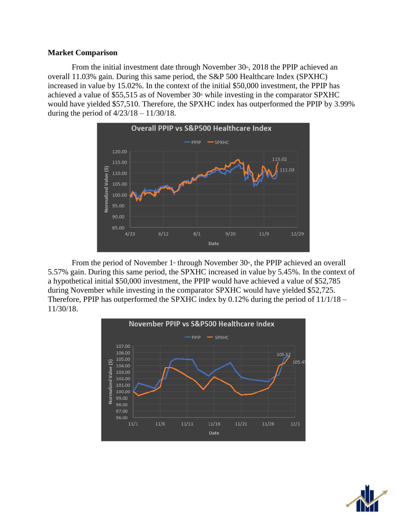### **Market Comparison**

From the initial investment date through November  $30<sup>th</sup>$ , 2018 the PPIP achieved an overall 11.03% gain. During this same period, the S&P 500 Healthcare Index (SPXHC) increased in value by 15.02%. In the context of the initial \$50,000 investment, the PPIP has achieved a value of \$55,515 as of November  $30<sup>th</sup>$  while investing in the comparator SPXHC would have yielded \$57,510. Therefore, the SPXHC index has outperformed the PPIP by 3.99% during the period of 4/23/18 – 11/30/18.



From the period of November  $1$ <sup>\*</sup> through November  $30$ <sup>\*</sup>, the PPIP achieved an overall 5.57% gain. During this same period, the SPXHC increased in value by 5.45%. In the context of a hypothetical initial \$50,000 investment, the PPIP would have achieved a value of \$52,785 during November while investing in the comparator SPXHC would have yielded \$52,725. Therefore, PPIP has outperformed the SPXHC index by 0.12% during the period of 11/1/18 – 11/30/18.



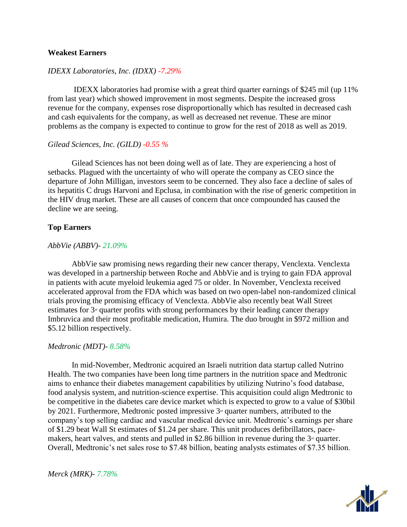## **Weakest Earners**

# *IDEXX Laboratories, Inc. (IDXX) -7.29%*

 IDEXX laboratories had promise with a great third quarter earnings of \$245 mil (up 11% from last year) which showed improvement in most segments. Despite the increased gross revenue for the company, expenses rose disproportionally which has resulted in decreased cash and cash equivalents for the company, as well as decreased net revenue. These are minor problems as the company is expected to continue to grow for the rest of 2018 as well as 2019.

#### *Gilead Sciences, Inc. (GILD) -0.55 %*

Gilead Sciences has not been doing well as of late. They are experiencing a host of setbacks. Plagued with the uncertainty of who will operate the company as CEO since the departure of John Milligan, investors seem to be concerned. They also face a decline of sales of its hepatitis C drugs Harvoni and Epclusa, in combination with the rise of generic competition in the HIV drug market. These are all causes of concern that once compounded has caused the decline we are seeing.

### **Top Earners**

### *AbbVie (ABBV)- 21.09%*

AbbVie saw promising news regarding their new cancer therapy, Venclexta. Venclexta was developed in a partnership between Roche and AbbVie and is trying to gain FDA approval in patients with acute myeloid leukemia aged 75 or older. In November, Venclexta received accelerated approval from the FDA which was based on two open-label non-randomized clinical trials proving the promising efficacy of Venclexta. AbbVie also recently beat Wall Street estimates for  $3<sup>d</sup>$  quarter profits with strong performances by their leading cancer therapy Imbruvica and their most profitable medication, Humira. The duo brought in \$972 million and \$5.12 billion respectively.

### *Medtronic (MDT)- 8.58%*

In mid-November, Medtronic acquired an Israeli nutrition data startup called Nutrino Health. The two companies have been long time partners in the nutrition space and Medtronic aims to enhance their diabetes management capabilities by utilizing Nutrino's food database, food analysis system, and nutrition-science expertise. This acquisition could align Medtronic to be competitive in the diabetes care device market which is expected to grow to a value of \$30bil by 2021. Furthermore, Medtronic posted impressive  $3<sup>d</sup>$  quarter numbers, attributed to the company's top selling cardiac and vascular medical device unit. Medtronic's earnings per share of \$1.29 beat Wall St estimates of \$1.24 per share. This unit produces defibrillators, pacemakers, heart valves, and stents and pulled in \$2.86 billion in revenue during the  $3<sup>d</sup>$  quarter. Overall, Medtronic's net sales rose to \$7.48 billion, beating analysts estimates of \$7.35 billion.



*Merck (MRK)- 7.78%*